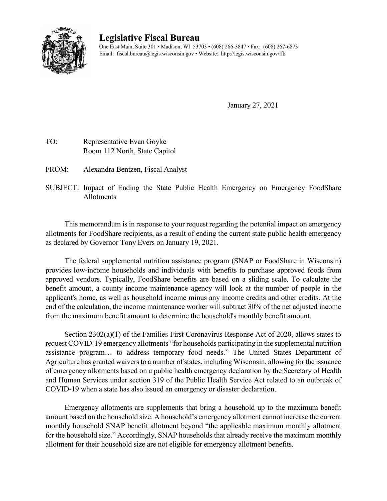

## **Legislative Fiscal Bureau**

One East Main, Suite 301 • Madison, WI 53703 • (608) 266-3847 • Fax: (608) 267-6873 Email: fiscal.bureau@legis.wisconsin.gov • Website:<http://legis.wisconsin.gov/lfb>

January 27, 2021

- TO: Representative Evan Goyke Room 112 North, State Capitol
- FROM: Alexandra Bentzen, Fiscal Analyst
- SUBJECT: Impact of Ending the State Public Health Emergency on Emergency FoodShare Allotments

This memorandum is in response to your request regarding the potential impact on emergency allotments for FoodShare recipients, as a result of ending the current state public health emergency as declared by Governor Tony Evers on January 19, 2021.

The federal supplemental nutrition assistance program (SNAP or FoodShare in Wisconsin) provides low-income households and individuals with benefits to purchase approved foods from approved vendors. Typically, FoodShare benefits are based on a sliding scale. To calculate the benefit amount, a county income maintenance agency will look at the number of people in the applicant's home, as well as household income minus any income credits and other credits. At the end of the calculation, the income maintenance worker will subtract 30% of the net adjusted income from the maximum benefit amount to determine the household's monthly benefit amount.

Section 2302(a)(1) of the Families First Coronavirus Response Act of 2020, allows states to request COVID-19 emergency allotments "for households participating in the supplemental nutrition assistance program… to address temporary food needs." The United States Department of Agriculture has granted waivers to a number of states, including Wisconsin, allowing for the issuance of emergency allotments based on a public health emergency declaration by the Secretary of Health and Human Services under section 319 of the Public Health Service Act related to an outbreak of COVID-19 when a state has also issued an emergency or disaster declaration.

Emergency allotments are supplements that bring a household up to the maximum benefit amount based on the household size. A household's emergency allotment cannot increase the current monthly household SNAP benefit allotment beyond "the applicable maximum monthly allotment for the household size." Accordingly, SNAP households that already receive the maximum monthly allotment for their household size are not eligible for emergency allotment benefits.